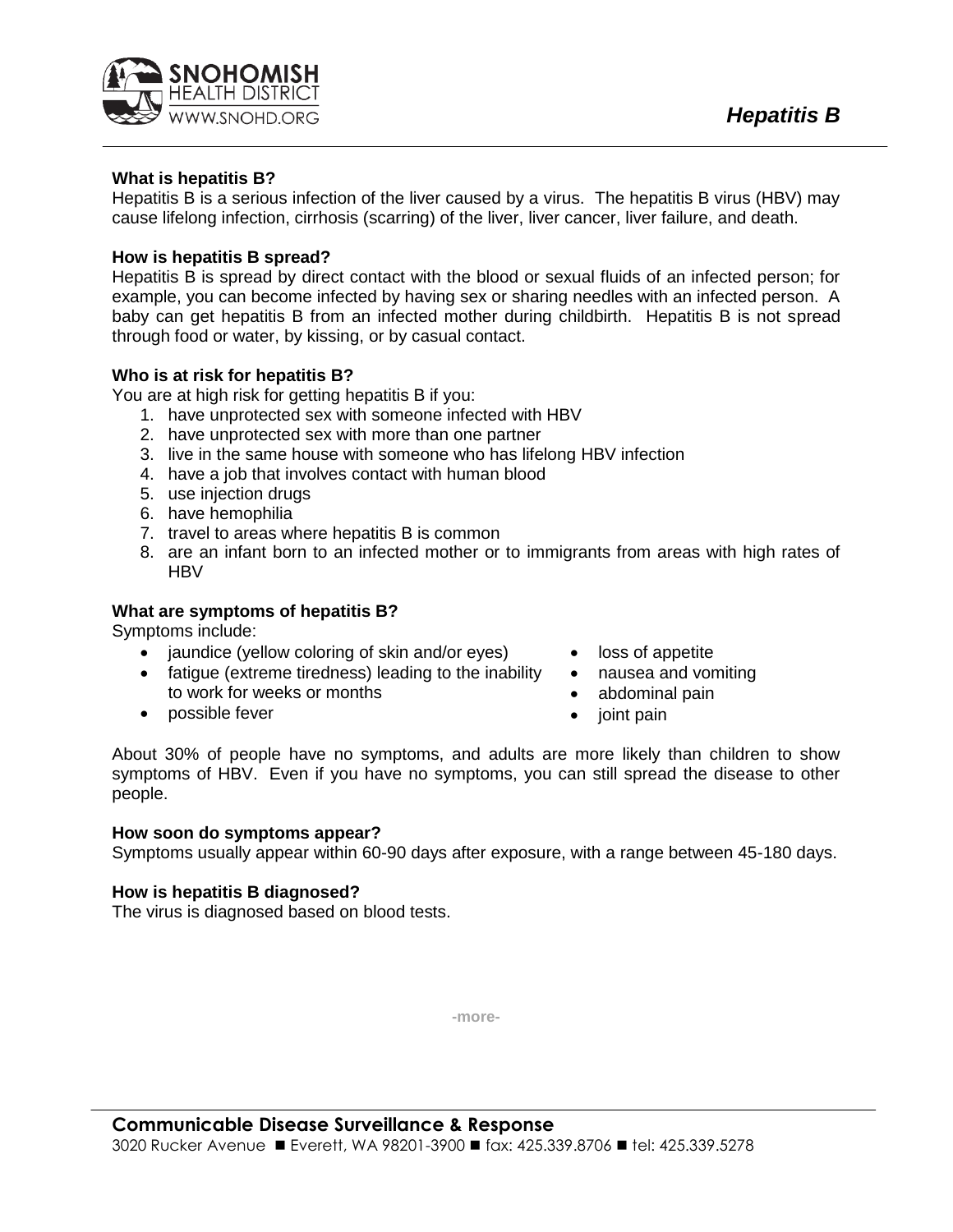

# **What is hepatitis B?**

Hepatitis B is a serious infection of the liver caused by a virus. The hepatitis B virus (HBV) may cause lifelong infection, cirrhosis (scarring) of the liver, liver cancer, liver failure, and death.

# **How is hepatitis B spread?**

Hepatitis B is spread by direct contact with the blood or sexual fluids of an infected person; for example, you can become infected by having sex or sharing needles with an infected person. A baby can get hepatitis B from an infected mother during childbirth. Hepatitis B is not spread through food or water, by kissing, or by casual contact.

# **Who is at risk for hepatitis B?**

You are at high risk for getting hepatitis B if you:

- 1. have unprotected sex with someone infected with HBV
- 2. have unprotected sex with more than one partner
- 3. live in the same house with someone who has lifelong HBV infection
- 4. have a job that involves contact with human blood
- 5. use injection drugs
- 6. have hemophilia
- 7. travel to areas where hepatitis B is common
- 8. are an infant born to an infected mother or to immigrants from areas with high rates of **HBV**

### **What are symptoms of hepatitis B?**

Symptoms include:

- jaundice (yellow coloring of skin and/or eyes)
- fatigue (extreme tiredness) leading to the inability to work for weeks or months
- possible fever
- loss of appetite
- nausea and vomiting
- abdominal pain
- joint pain

About 30% of people have no symptoms, and adults are more likely than children to show symptoms of HBV. Even if you have no symptoms, you can still spread the disease to other people.

#### **How soon do symptoms appear?**

Symptoms usually appear within 60-90 days after exposure, with a range between 45-180 days.

#### **How is hepatitis B diagnosed?**

The virus is diagnosed based on blood tests.

**-more-**